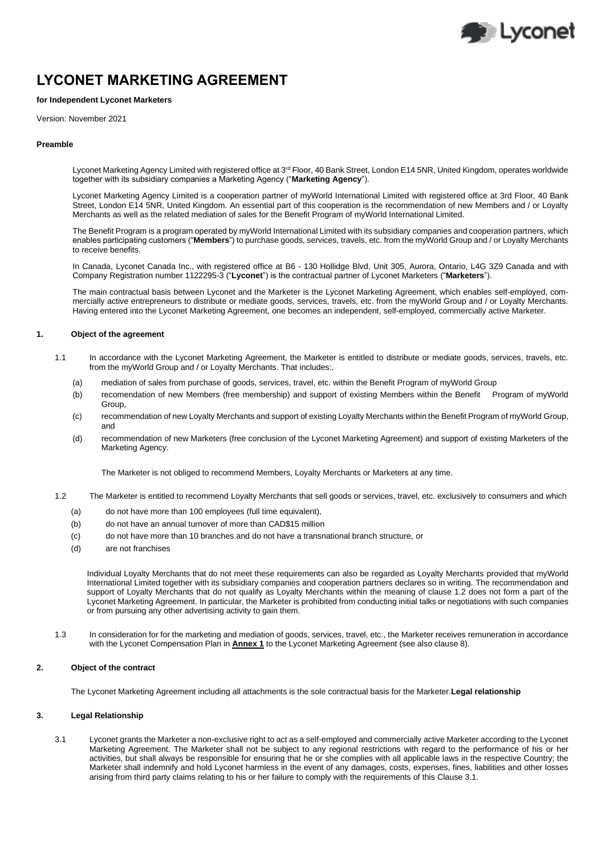

# **LYCONET MARKETING AGREEMENT**

# **for Independent Lyconet Marketers**

Version: November 2021

### **Preamble**

Lyconet Marketing Agency Limited with registered office at 3<sup>rd</sup> Floor, 40 Bank Street, London E14 5NR, United Kingdom, operates worldwide together with its subsidiary companies a Marketing Agency ("**Marketing Agency**").

Lyconet Marketing Agency Limited is a cooperation partner of myWorld International Limited with registered office at 3rd Floor, 40 Bank Street, London E14 5NR, United Kingdom. An essential part of this cooperation is the recommendation of new Members and / or Loyalty Merchants as well as the related mediation of sales for the Benefit Program of myWorld International Limited.

The Benefit Program is a program operated by myWorld International Limited with its subsidiary companies and cooperation partners, which enables participating customers ("**Members**") to purchase goods, services, travels, etc. from the myWorld Group and / or Loyalty Merchants to receive benefits.

In Canada, Lyconet Canada Inc., with registered office at B6 - 130 Hollidge Blvd, Unit 305, Aurora, Ontario, L4G 3Z9 Canada and with Company Registration number 1122295-3 ("**Lyconet**") is the contractual partner of Lyconet Marketers ("**Marketers**").

The main contractual basis between Lyconet and the Marketer is the Lyconet Marketing Agreement, which enables self-employed, commercially active entrepreneurs to distribute or mediate goods, services, travels, etc. from the myWorld Group and / or Loyalty Merchants. Having entered into the Lyconet Marketing Agreement, one becomes an independent, self-employed, commercially active Marketer.

# **1. Object of the agreement**

- 1.1 In accordance with the Lyconet Marketing Agreement, the Marketer is entitled to distribute or mediate goods, services, travels, etc. from the myWorld Group and / or Loyalty Merchants. That includes:,
	- (a) mediation of sales from purchase of goods, services, travel, etc. within the Benefit Program of myWorld Group
	- (b) recomendation of new Members (free membership) and support of existing Members within the Benefit Program of myWorld Group,
	- (c) recommendation of new Loyalty Merchants and support of existing Loyalty Merchants within the Benefit Program of myWorld Group, and
	- (d) recommendation of new Marketers (free conclusion of the Lyconet Marketing Agreement) and support of existing Marketers of the Marketing Agency.

The Marketer is not obliged to recommend Members, Loyalty Merchants or Marketers at any time.

- 1.2 The Marketer is entitled to recommend Loyalty Merchants that sell goods or services, travel, etc. exclusively to consumers and which
	- (a) do not have more than 100 employees (full time equivalent),
	- (b) do not have an annual turnover of more than CAD\$15 million
	- (c) do not have more than 10 branches and do not have a transnational branch structure, or
	- (d) are not franchises

Individual Loyalty Merchants that do not meet these requirements can also be regarded as Loyalty Merchants provided that myWorld International Limited together with its subsidiary companies and cooperation partners declares so in writing. The recommendation and support of Loyalty Merchants that do not qualify as Loyalty Merchants within the meaning of clause 1.2 does not form a part of the Lyconet Marketing Agreement. In particular, the Marketer is prohibited from conducting initial talks or negotiations with such companies or from pursuing any other advertising activity to gain them.

1.3 In consideration for for the marketing and mediation of goods, services, travel, etc., the Marketer receives remuneration in accordance with the Lyconet Compensation Plan in **Annex 1** to the Lyconet Marketing Agreement (see also clause 8).

# **2. Object of the contract**

The Lyconet Marketing Agreement including all attachments is the sole contractual basis for the Marketer.**Legal relationship**

# **3. Legal Relationship**

3.1 Lyconet grants the Marketer a non-exclusive right to act as a self-employed and commercially active Marketer according to the Lyconet Marketing Agreement. The Marketer shall not be subject to any regional restrictions with regard to the performance of his or her activities, but shall always be responsible for ensuring that he or she complies with all applicable laws in the respective Country; the Marketer shall indemnify and hold Lyconet harmless in the event of any damages, costs, expenses, fines, liabilities and other losses arising from third party claims relating to his or her failure to comply with the requirements of this Clause 3.1.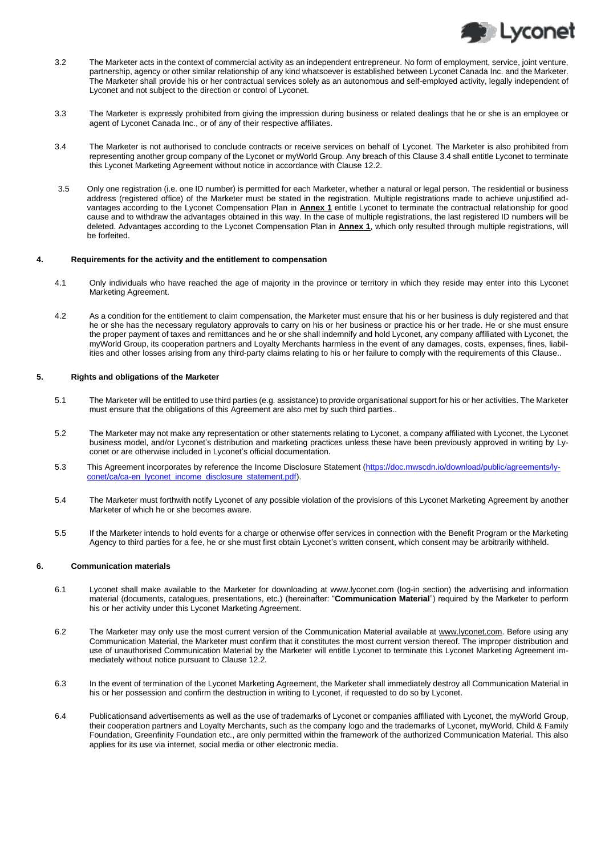

- 3.2 The Marketer acts in the context of commercial activity as an independent entrepreneur. No form of employment, service, joint venture, partnership, agency or other similar relationship of any kind whatsoever is established between Lyconet Canada Inc. and the Marketer. The Marketer shall provide his or her contractual services solely as an autonomous and self-employed activity, legally independent of Lyconet and not subject to the direction or control of Lyconet.
- 3.3 The Marketer is expressly prohibited from giving the impression during business or related dealings that he or she is an employee or agent of Lyconet Canada Inc., or of any of their respective affiliates.
- <span id="page-1-0"></span>3.4 The Marketer is not authorised to conclude contracts or receive services on behalf of Lyconet. The Marketer is also prohibited from representing another group company of the Lyconet or myWorld Group. Any breach of this Clause [3.4](#page-1-0) shall entitle Lyconet to terminate this Lyconet Marketing Agreement without notice in accordance with Clause 12.2.
- 3.5 Only one registration (i.e. one ID number) is permitted for each Marketer, whether a natural or legal person. The residential or business address (registered office) of the Marketer must be stated in the registration. Multiple registrations made to achieve unjustified advantages according to the Lyconet Compensation Plan in **Annex 1** entitle Lyconet to terminate the contractual relationship for good cause and to withdraw the advantages obtained in this way. In the case of multiple registrations, the last registered ID numbers will be deleted. Advantages according to the Lyconet Compensation Plan in **Annex 1**, which only resulted through multiple registrations, will be forfeited.

#### **4. Requirements for the activity and the entitlement to compensation**

- 4.1 Only individuals who have reached the age of majority in the province or territory in which they reside may enter into this Lyconet Marketing Agreement.
- 4.2 As a condition for the entitlement to claim compensation, the Marketer must ensure that his or her business is duly registered and that he or she has the necessary regulatory approvals to carry on his or her business or practice his or her trade. He or she must ensure the proper payment of taxes and remittances and he or she shall indemnify and hold Lyconet, any company affiliated with Lyconet, the myWorld Group, its cooperation partners and Loyalty Merchants harmless in the event of any damages, costs, expenses, fines, liabilities and other losses arising from any third-party claims relating to his or her failure to comply with the requirements of this Clause..

# **5. Rights and obligations of the Marketer**

- 5.1 The Marketer will be entitled to use third parties (e.g. assistance) to provide organisational support for his or her activities. The Marketer must ensure that the obligations of this Agreement are also met by such third parties..
- 5.2 The Marketer may not make any representation or other statements relating to Lyconet, a company affiliated with Lyconet, the Lyconet business model, and/or Lyconet's distribution and marketing practices unless these have been previously approved in writing by Lyconet or are otherwise included in Lyconet's official documentation.
- 5.3 This Agreement incorporates by reference the Income Disclosure Statement [\(https://doc.mwscdn.io/download/public/agreements/ly](https://doc.mwscdn.io/download/public/agreements/lyconet/ca/ca-en_lyconet_income_disclosure_statement.pdf)[conet/ca/ca-en\\_lyconet\\_income\\_disclosure\\_statement.pdf\)](https://doc.mwscdn.io/download/public/agreements/lyconet/ca/ca-en_lyconet_income_disclosure_statement.pdf)
- 5.4 The Marketer must forthwith notify Lyconet of any possible violation of the provisions of this Lyconet Marketing Agreement by another Marketer of which he or she becomes aware.
- 5.5 If the Marketer intends to hold events for a charge or otherwise offer services in connection with the Benefit Program or the Marketing Agency to third parties for a fee, he or she must first obtain Lyconet's written consent, which consent may be arbitrarily withheld.

## **6. Communication materials**

- 6.1 Lyconet shall make available to the Marketer for downloading at [www.lyconet.com](http://www.lyconet.com/) (log-in section) the advertising and information material (documents, catalogues, presentations, etc.) (hereinafter: "**Communication Material**") required by the Marketer to perform his or her activity under this Lyconet Marketing Agreement.
- <span id="page-1-1"></span>6.2 The Marketer may only use the most current version of the Communication Material available at [www.lyconet.com.](http://www.lyconet.com/) Before using any Communication Material, the Marketer must confirm that it constitutes the most current version thereof. The improper distribution and use of unauthorised Communication Material by the Marketer will entitle Lyconet to terminate this Lyconet Marketing Agreement immediately without notice pursuant to Clause 12.2.
- 6.3 In the event of termination of the Lyconet Marketing Agreement, the Marketer shall immediately destroy all Communication Material in his or her possession and confirm the destruction in writing to Lyconet, if requested to do so by Lyconet.
- <span id="page-1-2"></span>6.4 Publicationsand advertisements as well as the use of trademarks of Lyconet or companies affiliated with Lyconet, the myWorld Group, their cooperation partners and Loyalty Merchants, such as the company logo and the trademarks of Lyconet, myWorld, Child & Family Foundation, Greenfinity Foundation etc., are only permitted within the framework of the authorized Communication Material. This also applies for its use via internet, social media or other electronic media.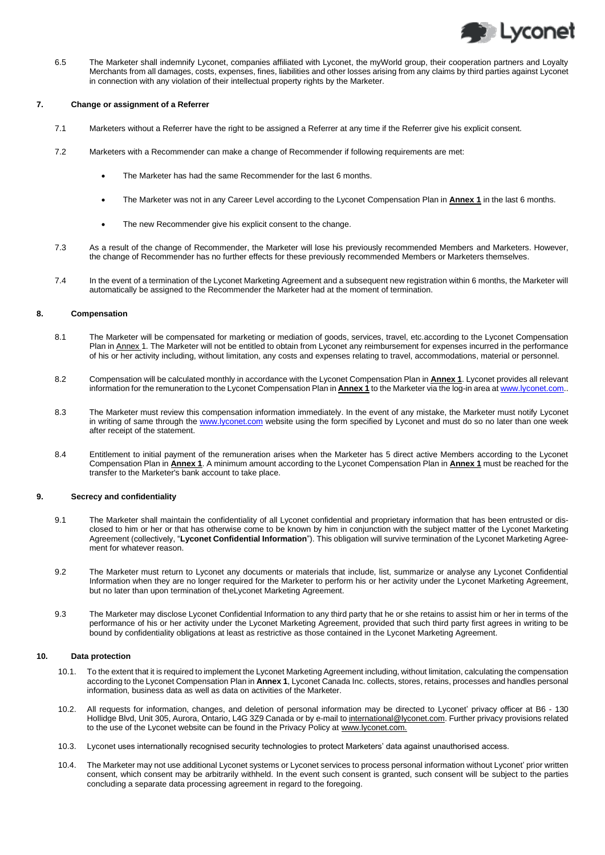

6.5 The Marketer shall indemnify Lyconet, companies affiliated with Lyconet, the myWorld group, their cooperation partners and Loyalty Merchants from all damages, costs, expenses, fines, liabilities and other losses arising from any claims by third parties against Lyconet in connection with any violation of their intellectual property rights by the Marketer.

# **7. Change or assignment of a Referrer**

- 7.1 Marketers without a Referrer have the right to be assigned a Referrer at any time if the Referrer give his explicit consent.
- 7.2 Marketers with a Recommender can make a change of Recommender if following requirements are met:
	- The Marketer has had the same Recommender for the last 6 months.
	- The Marketer was not in any Career Level according to the Lyconet Compensation Plan in **Annex 1** in the last 6 months.
	- The new Recommender give his explicit consent to the change.
- 7.3 As a result of the change of Recommender, the Marketer will lose his previously recommended Members and Marketers. However, the change of Recommender has no further effects for these previously recommended Members or Marketers themselves.
- 7.4 In the event of a termination of the Lyconet Marketing Agreement and a subsequent new registration within 6 months, the Marketer will automatically be assigned to the Recommender the Marketer had at the moment of termination.

#### **8. Compensation**

- 8.1 The Marketer will be compensated for marketing or mediation of goods, services, travel, etc.according to the Lyconet Compensation Plan in Annex 1. The Marketer will not be entitled to obtain from Lyconet any reimbursement for expenses incurred in the performance of his or her activity including, without limitation, any costs and expenses relating to travel, accommodations, material or personnel.
- 8.2 Compensation will be calculated monthly in accordance with the Lyconet Compensation Plan in **Annex 1**. Lyconet provides all relevant information for the remuneration to the Lyconet Compensation Plan in **Annex 1** to the Marketer via the log-in area a[t www.lyconet.com.](http://www.lyconet.com/).
- 8.3 The Marketer must review this compensation information immediately. In the event of any mistake, the Marketer must notify Lyconet in writing of same through th[e www.lyconet.com](http://www.lyconet.com/) website using the form specified by Lyconet and must do so no later than one week after receipt of the statement.
- 8.4 Entitlement to initial payment of the remuneration arises when the Marketer has 5 direct active Members according to the Lyconet Compensation Plan in **Annex 1**. A minimum amount according to the Lyconet Compensation Plan in **Annex 1** must be reached for the transfer to the Marketer's bank account to take place.

# **9. Secrecy and confidentiality**

- 9.1 The Marketer shall maintain the confidentiality of all Lyconet confidential and proprietary information that has been entrusted or disclosed to him or her or that has otherwise come to be known by him in conjunction with the subject matter of the Lyconet Marketing Agreement (collectively, "**Lyconet Confidential Information**"). This obligation will survive termination of the Lyconet Marketing Agreement for whatever reason.
- 9.2 The Marketer must return to Lyconet any documents or materials that include, list, summarize or analyse any Lyconet Confidential Information when they are no longer required for the Marketer to perform his or her activity under the Lyconet Marketing Agreement, but no later than upon termination of theLyconet Marketing Agreement.
- 9.3 The Marketer may disclose Lyconet Confidential Information to any third party that he or she retains to assist him or her in terms of the performance of his or her activity under the Lyconet Marketing Agreement, provided that such third party first agrees in writing to be bound by confidentiality obligations at least as restrictive as those contained in the Lyconet Marketing Agreement.

#### **10. Data protection**

- 10.1. To the extent that it is required to implement the Lyconet Marketing Agreement including, without limitation, calculating the compensation according to the Lyconet Compensation Plan in **Annex 1**, Lyconet Canada Inc. collects, stores, retains, processes and handles personal information, business data as well as data on activities of the Marketer.
- 10.2. All requests for information, changes, and deletion of personal information may be directed to Lyconet' privacy officer at B6 130 Hollidge Blvd, Unit 305, Aurora, Ontario, L4G 3Z9 Canada or by e-mail to international@lyconet.com. Further privacy provisions related to the use of the Lyconet website can be found in the Privacy Policy at www.lyconet.com.
- 10.3. Lyconet uses internationally recognised security technologies to protect Marketers' data against unauthorised access.
- 10.4. The Marketer may not use additional Lyconet systems or Lyconet services to process personal information without Lyconet' prior written consent, which consent may be arbitrarily withheld. In the event such consent is granted, such consent will be subject to the parties concluding a separate data processing agreement in regard to the foregoing.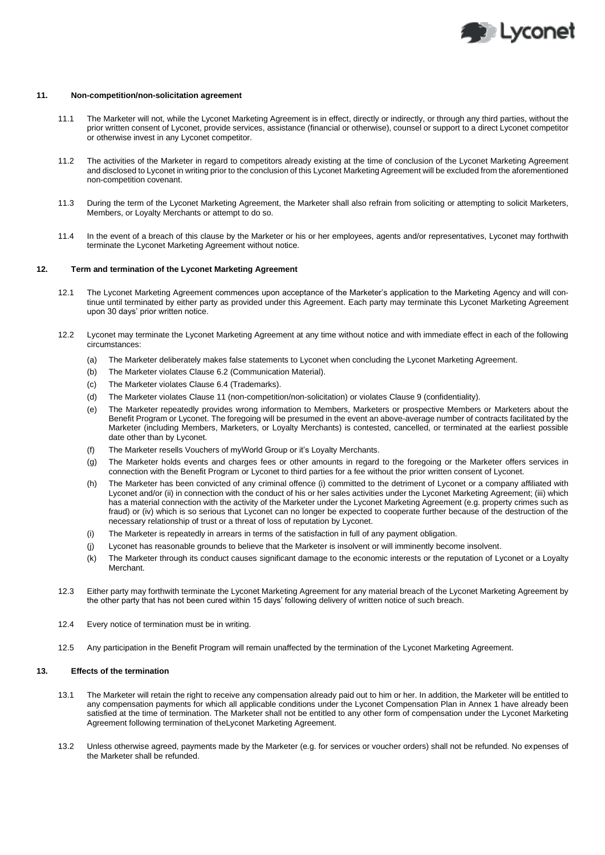

### **11. Non-competition/non-solicitation agreement**

- 11.1 The Marketer will not, while the Lyconet Marketing Agreement is in effect, directly or indirectly, or through any third parties, without the prior written consent of Lyconet, provide services, assistance (financial or otherwise), counsel or support to a direct Lyconet competitor or otherwise invest in any Lyconet competitor.
- 11.2 The activities of the Marketer in regard to competitors already existing at the time of conclusion of the Lyconet Marketing Agreement and disclosed to Lyconet in writing prior to the conclusion of this Lyconet Marketing Agreement will be excluded from the aforementioned non-competition covenant.
- 11.3 During the term of the Lyconet Marketing Agreement, the Marketer shall also refrain from soliciting or attempting to solicit Marketers, Members, or Loyalty Merchants or attempt to do so.
- 11.4 In the event of a breach of this clause by the Marketer or his or her employees, agents and/or representatives, Lyconet may forthwith terminate the Lyconet Marketing Agreement without notice.

## **12. Term and termination of the Lyconet Marketing Agreement**

- 12.1 The Lyconet Marketing Agreement commences upon acceptance of the Marketer's application to the Marketing Agency and will continue until terminated by either party as provided under this Agreement. Each party may terminate this Lyconet Marketing Agreement upon 30 days' prior written notice.
- 12.2 Lyconet may terminate the Lyconet Marketing Agreement at any time without notice and with immediate effect in each of the following circumstances:
	- (a) The Marketer deliberately makes false statements to Lyconet when concluding the Lyconet Marketing Agreement.
	- (b) The Marketer violates Clause [6.2](#page-1-1) (Communication Material).
	- (c) The Marketer violates Clause [6.4](#page-1-2) (Trademarks).
	- (d) The Marketer violates Clause 11 (non-competition/non-solicitation) or violates Clause 9 (confidentiality).
	- (e) The Marketer repeatedly provides wrong information to Members, Marketers or prospective Members or Marketers about the Benefit Program or Lyconet. The foregoing will be presumed in the event an above-average number of contracts facilitated by the Marketer (including Members, Marketers, or Loyalty Merchants) is contested, cancelled, or terminated at the earliest possible date other than by Lyconet.
	- (f) The Marketer resells Vouchers of myWorld Group or it's Loyalty Merchants.
	- (g) The Marketer holds events and charges fees or other amounts in regard to the foregoing or the Marketer offers services in connection with the Benefit Program or Lyconet to third parties for a fee without the prior written consent of Lyconet.
	- (h) The Marketer has been convicted of any criminal offence (i) committed to the detriment of Lyconet or a company affiliated with Lyconet and/or (ii) in connection with the conduct of his or her sales activities under the Lyconet Marketing Agreement; (iii) which has a material connection with the activity of the Marketer under the Lyconet Marketing Agreement (e.g. property crimes such as fraud) or (iv) which is so serious that Lyconet can no longer be expected to cooperate further because of the destruction of the necessary relationship of trust or a threat of loss of reputation by Lyconet.
	- (i) The Marketer is repeatedly in arrears in terms of the satisfaction in full of any payment obligation.
	- (j) Lyconet has reasonable grounds to believe that the Marketer is insolvent or will imminently become insolvent.
	- (k) The Marketer through its conduct causes significant damage to the economic interests or the reputation of Lyconet or a Loyalty Merchant.
- 12.3 Either party may forthwith terminate the Lyconet Marketing Agreement for any material breach of the Lyconet Marketing Agreement by the other party that has not been cured within 15 days' following delivery of written notice of such breach.
- 12.4 Every notice of termination must be in writing.
- 12.5 Any participation in the Benefit Program will remain unaffected by the termination of the Lyconet Marketing Agreement.

#### **13. Effects of the termination**

- 13.1 The Marketer will retain the right to receive any compensation already paid out to him or her. In addition, the Marketer will be entitled to any compensation payments for which all applicable conditions under the Lyconet Compensation Plan in Annex 1 have already been satisfied at the time of termination. The Marketer shall not be entitled to any other form of compensation under the Lyconet Marketing Agreement following termination of theLyconet Marketing Agreement.
- 13.2 Unless otherwise agreed, payments made by the Marketer (e.g. for services or voucher orders) shall not be refunded. No expenses of the Marketer shall be refunded.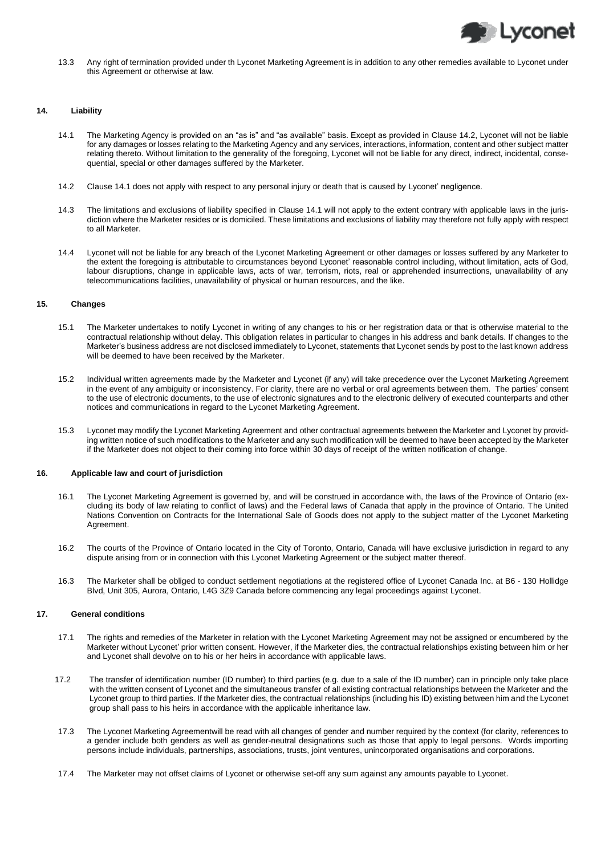

13.3 Any right of termination provided under th Lyconet Marketing Agreement is in addition to any other remedies available to Lyconet under this Agreement or otherwise at law.

#### **14. Liability**

- 14.1 The Marketing Agency is provided on an "as is" and "as available" basis. Except as provided in Clause 14.2, Lyconet will not be liable for any damages or losses relating to the Marketing Agency and any services, interactions, information, content and other subject matter relating thereto. Without limitation to the generality of the foregoing, Lyconet will not be liable for any direct, indirect, incidental, consequential, special or other damages suffered by the Marketer.
- 14.2 Clause 14.1 does not apply with respect to any personal injury or death that is caused by Lyconet' negligence.
- 14.3 The limitations and exclusions of liability specified in Clause 14.1 will not apply to the extent contrary with applicable laws in the jurisdiction where the Marketer resides or is domiciled. These limitations and exclusions of liability may therefore not fully apply with respect to all Marketer.
- 14.4 Lyconet will not be liable for any breach of the Lyconet Marketing Agreement or other damages or losses suffered by any Marketer to the extent the foregoing is attributable to circumstances beyond Lyconet' reasonable control including, without limitation, acts of God, labour disruptions, change in applicable laws, acts of war, terrorism, riots, real or apprehended insurrections, unavailability of any telecommunications facilities, unavailability of physical or human resources, and the like.

#### **15. Changes**

- 15.1 The Marketer undertakes to notify Lyconet in writing of any changes to his or her registration data or that is otherwise material to the contractual relationship without delay. This obligation relates in particular to changes in his address and bank details. If changes to the Marketer's business address are not disclosed immediately to Lyconet, statements that Lyconet sends by post to the last known address will be deemed to have been received by the Marketer.
- 15.2 Individual written agreements made by the Marketer and Lyconet (if any) will take precedence over the Lyconet Marketing Agreement in the event of any ambiguity or inconsistency. For clarity, there are no verbal or oral agreements between them. The parties' consent to the use of electronic documents, to the use of electronic signatures and to the electronic delivery of executed counterparts and other notices and communications in regard to the Lyconet Marketing Agreement.
- 15.3 Lyconet may modify the Lyconet Marketing Agreement and other contractual agreements between the Marketer and Lyconet by providing written notice of such modifications to the Marketer and any such modification will be deemed to have been accepted by the Marketer if the Marketer does not object to their coming into force within 30 days of receipt of the written notification of change.

## **16. Applicable law and court of jurisdiction**

- 16.1 The Lyconet Marketing Agreement is governed by, and will be construed in accordance with, the laws of the Province of Ontario (excluding its body of law relating to conflict of laws) and the Federal laws of Canada that apply in the province of Ontario. The United Nations Convention on Contracts for the International Sale of Goods does not apply to the subject matter of the Lyconet Marketing Agreement.
- 16.2 The courts of the Province of Ontario located in the City of Toronto, Ontario, Canada will have exclusive jurisdiction in regard to any dispute arising from or in connection with this Lyconet Marketing Agreement or the subject matter thereof.
- 16.3 The Marketer shall be obliged to conduct settlement negotiations at the registered office of Lyconet Canada Inc. at B6 130 Hollidge Blvd, Unit 305, Aurora, Ontario, L4G 3Z9 Canada before commencing any legal proceedings against Lyconet.

#### **17. General conditions**

- 17.1 The rights and remedies of the Marketer in relation with the Lyconet Marketing Agreement may not be assigned or encumbered by the Marketer without Lyconet' prior written consent. However, if the Marketer dies, the contractual relationships existing between him or her and Lyconet shall devolve on to his or her heirs in accordance with applicable laws.
- 17.2 The transfer of identification number (ID number) to third parties (e.g. due to a sale of the ID number) can in principle only take place with the written consent of Lyconet and the simultaneous transfer of all existing contractual relationships between the Marketer and the Lyconet group to third parties. If the Marketer dies, the contractual relationships (including his ID) existing between him and the Lyconet group shall pass to his heirs in accordance with the applicable inheritance law.
- 17.3 The Lyconet Marketing Agreementwill be read with all changes of gender and number required by the context (for clarity, references to a gender include both genders as well as gender-neutral designations such as those that apply to legal persons. Words importing persons include individuals, partnerships, associations, trusts, joint ventures, unincorporated organisations and corporations.
- 17.4 The Marketer may not offset claims of Lyconet or otherwise set-off any sum against any amounts payable to Lyconet.